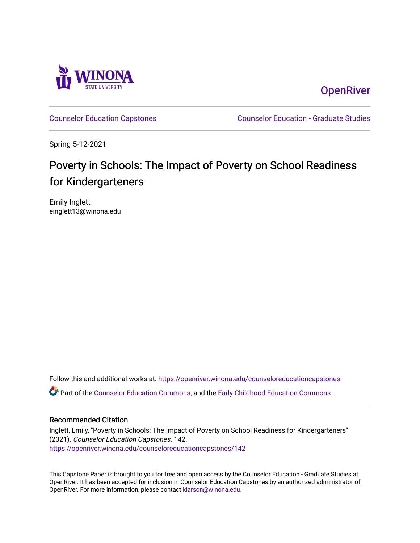

**OpenRiver** 

[Counselor Education Capstones](https://openriver.winona.edu/counseloreducationcapstones) [Counselor Education - Graduate Studies](https://openriver.winona.edu/counseloreducation) 

Spring 5-12-2021

# Poverty in Schools: The Impact of Poverty on School Readiness for Kindergarteners

Emily Inglett einglett13@winona.edu

Follow this and additional works at: [https://openriver.winona.edu/counseloreducationcapstones](https://openriver.winona.edu/counseloreducationcapstones?utm_source=openriver.winona.edu%2Fcounseloreducationcapstones%2F142&utm_medium=PDF&utm_campaign=PDFCoverPages) Part of the [Counselor Education Commons,](http://network.bepress.com/hgg/discipline/1278?utm_source=openriver.winona.edu%2Fcounseloreducationcapstones%2F142&utm_medium=PDF&utm_campaign=PDFCoverPages) and the [Early Childhood Education Commons](http://network.bepress.com/hgg/discipline/1377?utm_source=openriver.winona.edu%2Fcounseloreducationcapstones%2F142&utm_medium=PDF&utm_campaign=PDFCoverPages) 

#### Recommended Citation

Inglett, Emily, "Poverty in Schools: The Impact of Poverty on School Readiness for Kindergarteners" (2021). Counselor Education Capstones. 142. [https://openriver.winona.edu/counseloreducationcapstones/142](https://openriver.winona.edu/counseloreducationcapstones/142?utm_source=openriver.winona.edu%2Fcounseloreducationcapstones%2F142&utm_medium=PDF&utm_campaign=PDFCoverPages)

This Capstone Paper is brought to you for free and open access by the Counselor Education - Graduate Studies at OpenRiver. It has been accepted for inclusion in Counselor Education Capstones by an authorized administrator of OpenRiver. For more information, please contact [klarson@winona.edu](mailto:klarson@winona.edu).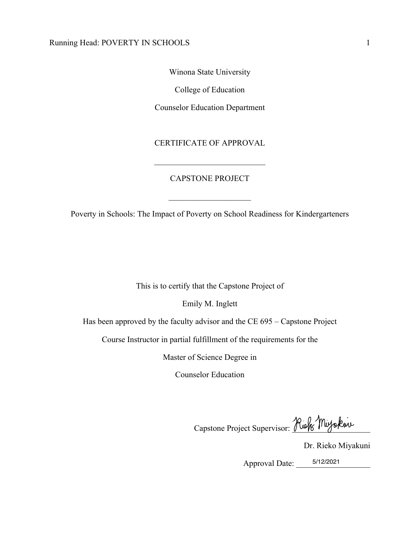Winona State University

College of Education

Counselor Education Department

## CERTIFICATE OF APPROVAL

## CAPSTONE PROJECT

Poverty in Schools: The Impact of Poverty on School Readiness for Kindergarteners

This is to certify that the Capstone Project of

Emily M. Inglett

Has been approved by the faculty advisor and the CE 695 – Capstone Project

Course Instructor in partial fulfillment of the requirements for the

Master of Science Degree in

Counselor Education

Capstone Project Supervisor: Rick Muyokuv

Dr. Rieko Miyakuni

Approval Date: \_\_\_\_\_\_\_\_\_\_\_\_\_\_\_\_\_\_ 5/12/2021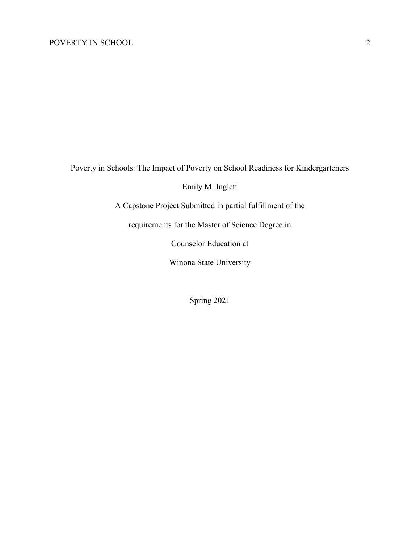Poverty in Schools: The Impact of Poverty on School Readiness for Kindergarteners

Emily M. Inglett

A Capstone Project Submitted in partial fulfillment of the

requirements for the Master of Science Degree in

Counselor Education at

Winona State University

Spring 2021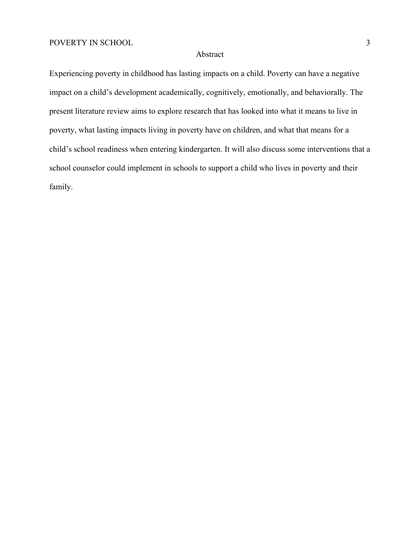#### Abstract

Experiencing poverty in childhood has lasting impacts on a child. Poverty can have a negative impact on a child's development academically, cognitively, emotionally, and behaviorally. The present literature review aims to explore research that has looked into what it means to live in poverty, what lasting impacts living in poverty have on children, and what that means for a child's school readiness when entering kindergarten. It will also discuss some interventions that a school counselor could implement in schools to support a child who lives in poverty and their family.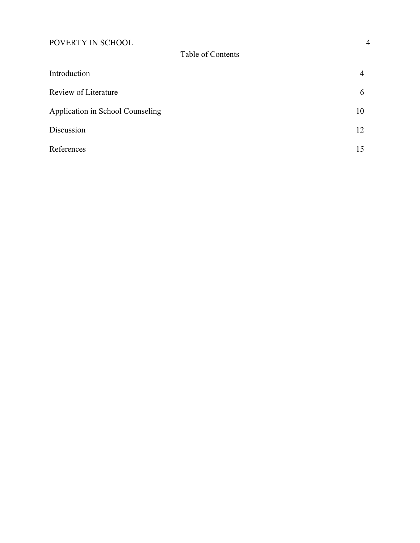| Introduction                     | $\overline{4}$ |
|----------------------------------|----------------|
| Review of Literature             | 6              |
| Application in School Counseling | 10             |
| Discussion                       | 12             |
| References                       | 15             |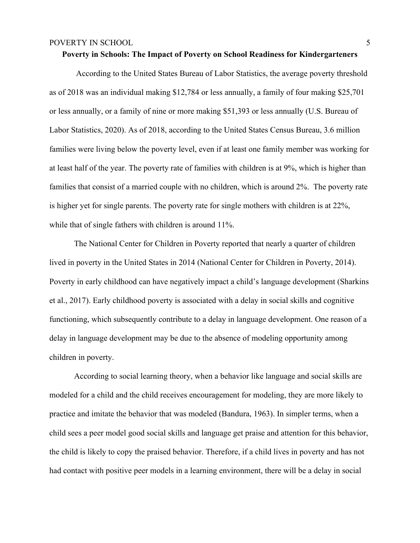## **Poverty in Schools: The Impact of Poverty on School Readiness for Kindergarteners**

According to the United States Bureau of Labor Statistics, the average poverty threshold as of 2018 was an individual making \$12,784 or less annually, a family of four making \$25,701 or less annually, or a family of nine or more making \$51,393 or less annually (U.S. Bureau of Labor Statistics, 2020). As of 2018, according to the United States Census Bureau, 3.6 million families were living below the poverty level, even if at least one family member was working for at least half of the year. The poverty rate of families with children is at 9%, which is higher than families that consist of a married couple with no children, which is around 2%. The poverty rate is higher yet for single parents. The poverty rate for single mothers with children is at 22%, while that of single fathers with children is around 11%.

The National Center for Children in Poverty reported that nearly a quarter of children lived in poverty in the United States in 2014 (National Center for Children in Poverty, 2014). Poverty in early childhood can have negatively impact a child's language development (Sharkins et al., 2017). Early childhood poverty is associated with a delay in social skills and cognitive functioning, which subsequently contribute to a delay in language development. One reason of a delay in language development may be due to the absence of modeling opportunity among children in poverty.

According to social learning theory, when a behavior like language and social skills are modeled for a child and the child receives encouragement for modeling, they are more likely to practice and imitate the behavior that was modeled (Bandura, 1963). In simpler terms, when a child sees a peer model good social skills and language get praise and attention for this behavior, the child is likely to copy the praised behavior. Therefore, if a child lives in poverty and has not had contact with positive peer models in a learning environment, there will be a delay in social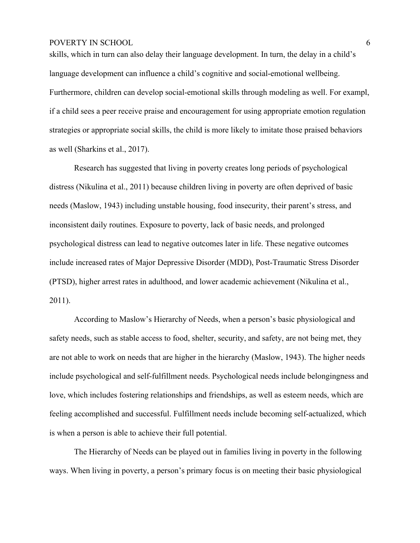skills, which in turn can also delay their language development. In turn, the delay in a child's language development can influence a child's cognitive and social-emotional wellbeing. Furthermore, children can develop social-emotional skills through modeling as well. For exampl, if a child sees a peer receive praise and encouragement for using appropriate emotion regulation strategies or appropriate social skills, the child is more likely to imitate those praised behaviors as well (Sharkins et al., 2017).

Research has suggested that living in poverty creates long periods of psychological distress (Nikulina et al., 2011) because children living in poverty are often deprived of basic needs (Maslow, 1943) including unstable housing, food insecurity, their parent's stress, and inconsistent daily routines. Exposure to poverty, lack of basic needs, and prolonged psychological distress can lead to negative outcomes later in life. These negative outcomes include increased rates of Major Depressive Disorder (MDD), Post-Traumatic Stress Disorder (PTSD), higher arrest rates in adulthood, and lower academic achievement (Nikulina et al., 2011).

According to Maslow's Hierarchy of Needs, when a person's basic physiological and safety needs, such as stable access to food, shelter, security, and safety, are not being met, they are not able to work on needs that are higher in the hierarchy (Maslow, 1943). The higher needs include psychological and self-fulfillment needs. Psychological needs include belongingness and love, which includes fostering relationships and friendships, as well as esteem needs, which are feeling accomplished and successful. Fulfillment needs include becoming self-actualized, which is when a person is able to achieve their full potential.

The Hierarchy of Needs can be played out in families living in poverty in the following ways. When living in poverty, a person's primary focus is on meeting their basic physiological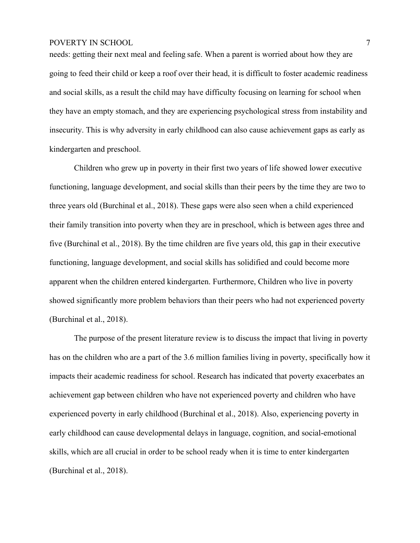needs: getting their next meal and feeling safe. When a parent is worried about how they are going to feed their child or keep a roof over their head, it is difficult to foster academic readiness and social skills, as a result the child may have difficulty focusing on learning for school when they have an empty stomach, and they are experiencing psychological stress from instability and insecurity. This is why adversity in early childhood can also cause achievement gaps as early as kindergarten and preschool.

Children who grew up in poverty in their first two years of life showed lower executive functioning, language development, and social skills than their peers by the time they are two to three years old (Burchinal et al., 2018). These gaps were also seen when a child experienced their family transition into poverty when they are in preschool, which is between ages three and five (Burchinal et al., 2018). By the time children are five years old, this gap in their executive functioning, language development, and social skills has solidified and could become more apparent when the children entered kindergarten. Furthermore, Children who live in poverty showed significantly more problem behaviors than their peers who had not experienced poverty (Burchinal et al., 2018).

The purpose of the present literature review is to discuss the impact that living in poverty has on the children who are a part of the 3.6 million families living in poverty, specifically how it impacts their academic readiness for school. Research has indicated that poverty exacerbates an achievement gap between children who have not experienced poverty and children who have experienced poverty in early childhood (Burchinal et al., 2018). Also, experiencing poverty in early childhood can cause developmental delays in language, cognition, and social-emotional skills, which are all crucial in order to be school ready when it is time to enter kindergarten (Burchinal et al., 2018).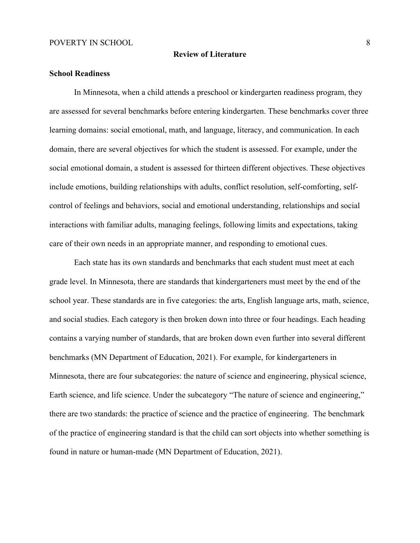#### **Review of Literature**

## **School Readiness**

In Minnesota, when a child attends a preschool or kindergarten readiness program, they are assessed for several benchmarks before entering kindergarten. These benchmarks cover three learning domains: social emotional, math, and language, literacy, and communication. In each domain, there are several objectives for which the student is assessed. For example, under the social emotional domain, a student is assessed for thirteen different objectives. These objectives include emotions, building relationships with adults, conflict resolution, self-comforting, selfcontrol of feelings and behaviors, social and emotional understanding, relationships and social interactions with familiar adults, managing feelings, following limits and expectations, taking care of their own needs in an appropriate manner, and responding to emotional cues.

Each state has its own standards and benchmarks that each student must meet at each grade level. In Minnesota, there are standards that kindergarteners must meet by the end of the school year. These standards are in five categories: the arts, English language arts, math, science, and social studies. Each category is then broken down into three or four headings. Each heading contains a varying number of standards, that are broken down even further into several different benchmarks (MN Department of Education, 2021). For example, for kindergarteners in Minnesota, there are four subcategories: the nature of science and engineering, physical science, Earth science, and life science. Under the subcategory "The nature of science and engineering," there are two standards: the practice of science and the practice of engineering. The benchmark of the practice of engineering standard is that the child can sort objects into whether something is found in nature or human-made (MN Department of Education, 2021).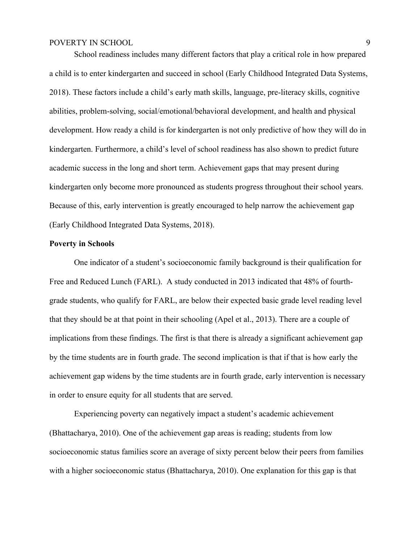School readiness includes many different factors that play a critical role in how prepared a child is to enter kindergarten and succeed in school (Early Childhood Integrated Data Systems, 2018). These factors include a child's early math skills, language, pre-literacy skills, cognitive abilities, problem-solving, social/emotional/behavioral development, and health and physical development. How ready a child is for kindergarten is not only predictive of how they will do in kindergarten. Furthermore, a child's level of school readiness has also shown to predict future academic success in the long and short term. Achievement gaps that may present during kindergarten only become more pronounced as students progress throughout their school years. Because of this, early intervention is greatly encouraged to help narrow the achievement gap (Early Childhood Integrated Data Systems, 2018).

#### **Poverty in Schools**

One indicator of a student's socioeconomic family background is their qualification for Free and Reduced Lunch (FARL). A study conducted in 2013 indicated that 48% of fourthgrade students, who qualify for FARL, are below their expected basic grade level reading level that they should be at that point in their schooling (Apel et al., 2013). There are a couple of implications from these findings. The first is that there is already a significant achievement gap by the time students are in fourth grade. The second implication is that if that is how early the achievement gap widens by the time students are in fourth grade, early intervention is necessary in order to ensure equity for all students that are served.

Experiencing poverty can negatively impact a student's academic achievement (Bhattacharya, 2010). One of the achievement gap areas is reading; students from low socioeconomic status families score an average of sixty percent below their peers from families with a higher socioeconomic status (Bhattacharya, 2010). One explanation for this gap is that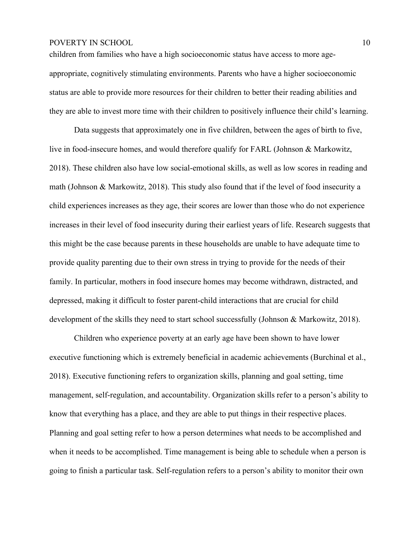children from families who have a high socioeconomic status have access to more ageappropriate, cognitively stimulating environments. Parents who have a higher socioeconomic status are able to provide more resources for their children to better their reading abilities and they are able to invest more time with their children to positively influence their child's learning.

Data suggests that approximately one in five children, between the ages of birth to five, live in food-insecure homes, and would therefore qualify for FARL (Johnson & Markowitz, 2018). These children also have low social-emotional skills, as well as low scores in reading and math (Johnson & Markowitz, 2018). This study also found that if the level of food insecurity a child experiences increases as they age, their scores are lower than those who do not experience increases in their level of food insecurity during their earliest years of life. Research suggests that this might be the case because parents in these households are unable to have adequate time to provide quality parenting due to their own stress in trying to provide for the needs of their family. In particular, mothers in food insecure homes may become withdrawn, distracted, and depressed, making it difficult to foster parent-child interactions that are crucial for child development of the skills they need to start school successfully (Johnson & Markowitz, 2018).

Children who experience poverty at an early age have been shown to have lower executive functioning which is extremely beneficial in academic achievements (Burchinal et al., 2018). Executive functioning refers to organization skills, planning and goal setting, time management, self-regulation, and accountability. Organization skills refer to a person's ability to know that everything has a place, and they are able to put things in their respective places. Planning and goal setting refer to how a person determines what needs to be accomplished and when it needs to be accomplished. Time management is being able to schedule when a person is going to finish a particular task. Self-regulation refers to a person's ability to monitor their own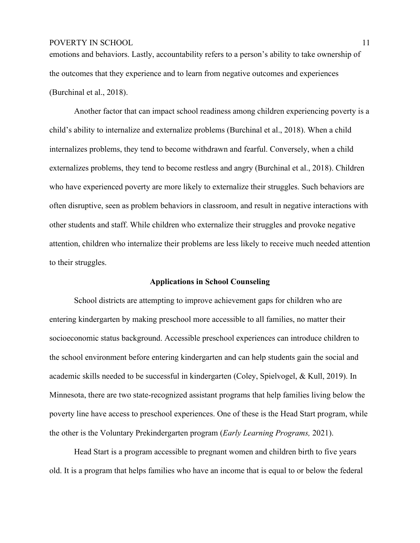## POVERTY IN SCHOOL 2008 2009 11

emotions and behaviors. Lastly, accountability refers to a person's ability to take ownership of the outcomes that they experience and to learn from negative outcomes and experiences (Burchinal et al., 2018).

Another factor that can impact school readiness among children experiencing poverty is a child's ability to internalize and externalize problems (Burchinal et al., 2018). When a child internalizes problems, they tend to become withdrawn and fearful. Conversely, when a child externalizes problems, they tend to become restless and angry (Burchinal et al., 2018). Children who have experienced poverty are more likely to externalize their struggles. Such behaviors are often disruptive, seen as problem behaviors in classroom, and result in negative interactions with other students and staff. While children who externalize their struggles and provoke negative attention, children who internalize their problems are less likely to receive much needed attention to their struggles.

#### **Applications in School Counseling**

School districts are attempting to improve achievement gaps for children who are entering kindergarten by making preschool more accessible to all families, no matter their socioeconomic status background. Accessible preschool experiences can introduce children to the school environment before entering kindergarten and can help students gain the social and academic skills needed to be successful in kindergarten (Coley, Spielvogel, & Kull, 2019). In Minnesota, there are two state-recognized assistant programs that help families living below the poverty line have access to preschool experiences. One of these is the Head Start program, while the other is the Voluntary Prekindergarten program (*Early Learning Programs,* 2021).

Head Start is a program accessible to pregnant women and children birth to five years old. It is a program that helps families who have an income that is equal to or below the federal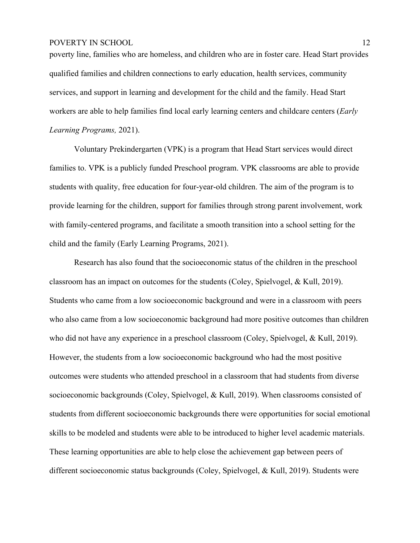poverty line, families who are homeless, and children who are in foster care. Head Start provides qualified families and children connections to early education, health services, community services, and support in learning and development for the child and the family. Head Start workers are able to help families find local early learning centers and childcare centers (*Early Learning Programs,* 2021).

Voluntary Prekindergarten (VPK) is a program that Head Start services would direct families to. VPK is a publicly funded Preschool program. VPK classrooms are able to provide students with quality, free education for four-year-old children. The aim of the program is to provide learning for the children, support for families through strong parent involvement, work with family-centered programs, and facilitate a smooth transition into a school setting for the child and the family (Early Learning Programs, 2021).

Research has also found that the socioeconomic status of the children in the preschool classroom has an impact on outcomes for the students (Coley, Spielvogel, & Kull, 2019). Students who came from a low socioeconomic background and were in a classroom with peers who also came from a low socioeconomic background had more positive outcomes than children who did not have any experience in a preschool classroom (Coley, Spielvogel, & Kull, 2019). However, the students from a low socioeconomic background who had the most positive outcomes were students who attended preschool in a classroom that had students from diverse socioeconomic backgrounds (Coley, Spielvogel, & Kull, 2019). When classrooms consisted of students from different socioeconomic backgrounds there were opportunities for social emotional skills to be modeled and students were able to be introduced to higher level academic materials. These learning opportunities are able to help close the achievement gap between peers of different socioeconomic status backgrounds (Coley, Spielvogel, & Kull, 2019). Students were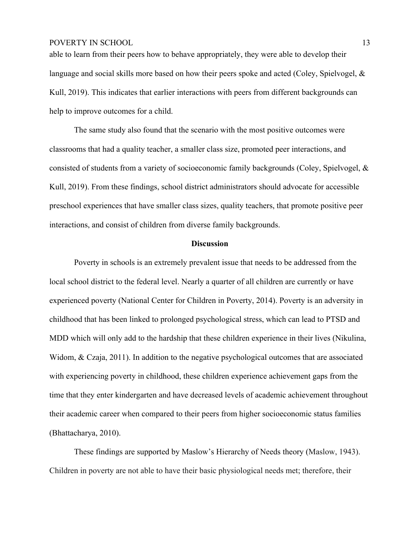able to learn from their peers how to behave appropriately, they were able to develop their language and social skills more based on how their peers spoke and acted (Coley, Spielvogel, & Kull, 2019). This indicates that earlier interactions with peers from different backgrounds can help to improve outcomes for a child.

The same study also found that the scenario with the most positive outcomes were classrooms that had a quality teacher, a smaller class size, promoted peer interactions, and consisted of students from a variety of socioeconomic family backgrounds (Coley, Spielvogel, & Kull, 2019). From these findings, school district administrators should advocate for accessible preschool experiences that have smaller class sizes, quality teachers, that promote positive peer interactions, and consist of children from diverse family backgrounds.

#### **Discussion**

Poverty in schools is an extremely prevalent issue that needs to be addressed from the local school district to the federal level. Nearly a quarter of all children are currently or have experienced poverty (National Center for Children in Poverty, 2014). Poverty is an adversity in childhood that has been linked to prolonged psychological stress, which can lead to PTSD and MDD which will only add to the hardship that these children experience in their lives (Nikulina, Widom, & Czaja, 2011). In addition to the negative psychological outcomes that are associated with experiencing poverty in childhood, these children experience achievement gaps from the time that they enter kindergarten and have decreased levels of academic achievement throughout their academic career when compared to their peers from higher socioeconomic status families (Bhattacharya, 2010).

These findings are supported by Maslow's Hierarchy of Needs theory (Maslow, 1943). Children in poverty are not able to have their basic physiological needs met; therefore, their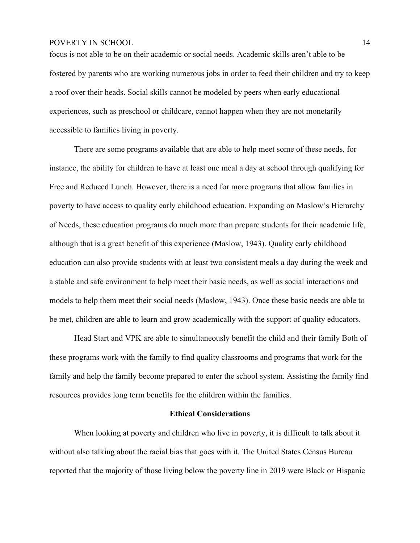focus is not able to be on their academic or social needs. Academic skills aren't able to be fostered by parents who are working numerous jobs in order to feed their children and try to keep a roof over their heads. Social skills cannot be modeled by peers when early educational experiences, such as preschool or childcare, cannot happen when they are not monetarily accessible to families living in poverty.

There are some programs available that are able to help meet some of these needs, for instance, the ability for children to have at least one meal a day at school through qualifying for Free and Reduced Lunch. However, there is a need for more programs that allow families in poverty to have access to quality early childhood education. Expanding on Maslow's Hierarchy of Needs, these education programs do much more than prepare students for their academic life, although that is a great benefit of this experience (Maslow, 1943). Quality early childhood education can also provide students with at least two consistent meals a day during the week and a stable and safe environment to help meet their basic needs, as well as social interactions and models to help them meet their social needs (Maslow, 1943). Once these basic needs are able to be met, children are able to learn and grow academically with the support of quality educators.

Head Start and VPK are able to simultaneously benefit the child and their family Both of these programs work with the family to find quality classrooms and programs that work for the family and help the family become prepared to enter the school system. Assisting the family find resources provides long term benefits for the children within the families.

#### **Ethical Considerations**

When looking at poverty and children who live in poverty, it is difficult to talk about it without also talking about the racial bias that goes with it. The United States Census Bureau reported that the majority of those living below the poverty line in 2019 were Black or Hispanic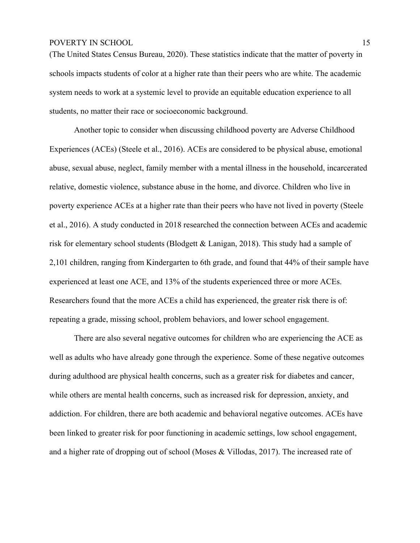(The United States Census Bureau, 2020). These statistics indicate that the matter of poverty in schools impacts students of color at a higher rate than their peers who are white. The academic system needs to work at a systemic level to provide an equitable education experience to all students, no matter their race or socioeconomic background.

Another topic to consider when discussing childhood poverty are Adverse Childhood Experiences (ACEs) (Steele et al., 2016). ACEs are considered to be physical abuse, emotional abuse, sexual abuse, neglect, family member with a mental illness in the household, incarcerated relative, domestic violence, substance abuse in the home, and divorce. Children who live in poverty experience ACEs at a higher rate than their peers who have not lived in poverty (Steele et al., 2016). A study conducted in 2018 researched the connection between ACEs and academic risk for elementary school students (Blodgett & Lanigan, 2018). This study had a sample of 2,101 children, ranging from Kindergarten to 6th grade, and found that 44% of their sample have experienced at least one ACE, and 13% of the students experienced three or more ACEs. Researchers found that the more ACEs a child has experienced, the greater risk there is of: repeating a grade, missing school, problem behaviors, and lower school engagement.

There are also several negative outcomes for children who are experiencing the ACE as well as adults who have already gone through the experience. Some of these negative outcomes during adulthood are physical health concerns, such as a greater risk for diabetes and cancer, while others are mental health concerns, such as increased risk for depression, anxiety, and addiction. For children, there are both academic and behavioral negative outcomes. ACEs have been linked to greater risk for poor functioning in academic settings, low school engagement, and a higher rate of dropping out of school (Moses & Villodas, 2017). The increased rate of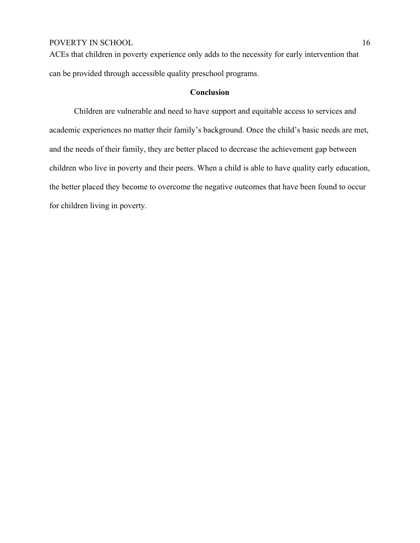ACEs that children in poverty experience only adds to the necessity for early intervention that can be provided through accessible quality preschool programs.

#### **Conclusion**

Children are vulnerable and need to have support and equitable access to services and academic experiences no matter their family's background. Once the child's basic needs are met, and the needs of their family, they are better placed to decrease the achievement gap between children who live in poverty and their peers. When a child is able to have quality early education, the better placed they become to overcome the negative outcomes that have been found to occur for children living in poverty.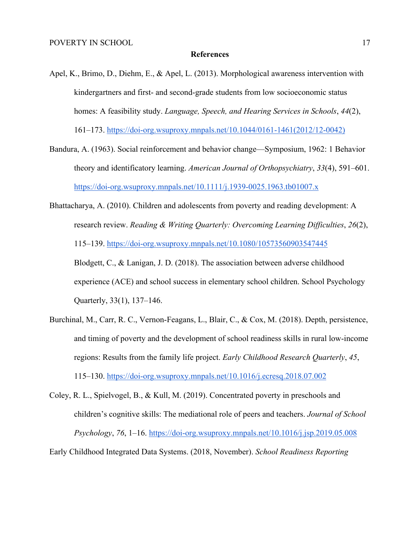#### **References**

- Apel, K., Brimo, D., Diehm, E., & Apel, L. (2013). Morphological awareness intervention with kindergartners and first- and second-grade students from low socioeconomic status homes: A feasibility study. *Language, Speech, and Hearing Services in Schools*, *44*(2), 161–173. https://doi-org.wsuproxy.mnpals.net/10.1044/0161-1461(2012/12-0042)
- Bandura, A. (1963). Social reinforcement and behavior change—Symposium, 1962: 1 Behavior theory and identificatory learning. *American Journal of Orthopsychiatry*, *33*(4), 591–601. https://doi-org.wsuproxy.mnpals.net/10.1111/j.1939-0025.1963.tb01007.x
- Bhattacharya, A. (2010). Children and adolescents from poverty and reading development: A research review. *Reading & Writing Quarterly: Overcoming Learning Difficulties*, *26*(2), 115–139. https://doi-org.wsuproxy.mnpals.net/10.1080/10573560903547445 Blodgett, C., & Lanigan, J. D. (2018). The association between adverse childhood experience (ACE) and school success in elementary school children. School Psychology Quarterly, 33(1), 137–146.
- Burchinal, M., Carr, R. C., Vernon-Feagans, L., Blair, C., & Cox, M. (2018). Depth, persistence, and timing of poverty and the development of school readiness skills in rural low-income regions: Results from the family life project. *Early Childhood Research Quarterly*, *45*, 115–130. https://doi-org.wsuproxy.mnpals.net/10.1016/j.ecresq.2018.07.002
- Coley, R. L., Spielvogel, B., & Kull, M. (2019). Concentrated poverty in preschools and children's cognitive skills: The mediational role of peers and teachers. *Journal of School Psychology*, *76*, 1–16. https://doi-org.wsuproxy.mnpals.net/10.1016/j.jsp.2019.05.008

Early Childhood Integrated Data Systems. (2018, November). *School Readiness Reporting*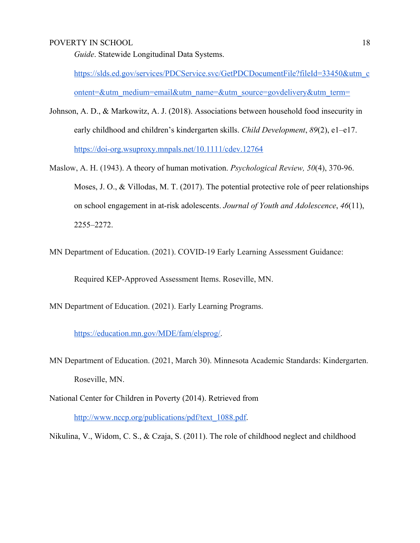*Guide*. Statewide Longitudinal Data Systems.

https://slds.ed.gov/services/PDCService.svc/GetPDCDocumentFile?fileId=33450&utm\_c ontent=&utm\_medium=email&utm\_name=&utm\_source=govdelivery&utm\_term=

- Johnson, A. D., & Markowitz, A. J. (2018). Associations between household food insecurity in early childhood and children's kindergarten skills. *Child Development*, *89*(2), e1–e17. https://doi-org.wsuproxy.mnpals.net/10.1111/cdev.12764
- Maslow, A. H. (1943). A theory of human motivation. *Psychological Review, 50*(4), 370-96. Moses, J. O., & Villodas, M. T. (2017). The potential protective role of peer relationships on school engagement in at-risk adolescents. *Journal of Youth and Adolescence*, *46*(11), 2255–2272.
- MN Department of Education. (2021). COVID-19 Early Learning Assessment Guidance:

Required KEP-Approved Assessment Items. Roseville, MN.

MN Department of Education. (2021). Early Learning Programs.

https://education.mn.gov/MDE/fam/elsprog/.

- MN Department of Education. (2021, March 30). Minnesota Academic Standards: Kindergarten. Roseville, MN.
- National Center for Children in Poverty (2014). Retrieved from

http://www.nccp.org/publications/pdf/text\_1088.pdf.

Nikulina, V., Widom, C. S., & Czaja, S. (2011). The role of childhood neglect and childhood